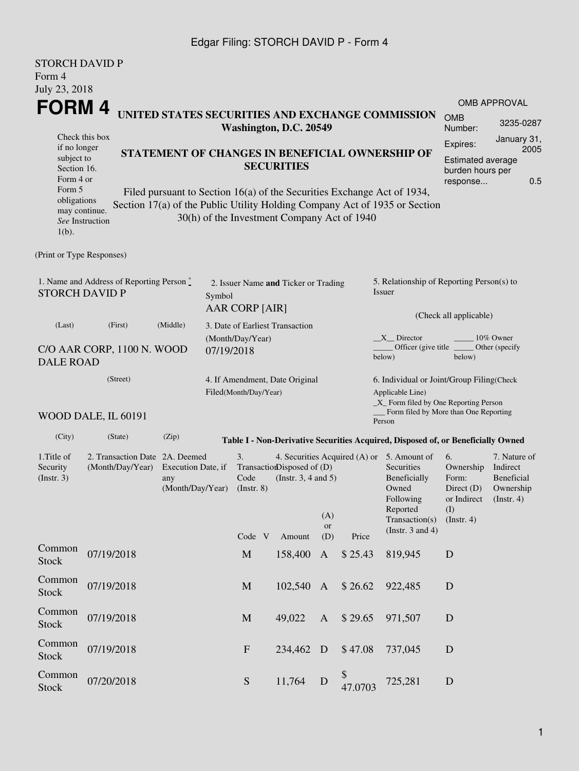### Edgar Filing: STORCH DAVID P - Form 4

| <b>STORCH DAVID P</b><br>Form 4<br>July 23, 2018                            |                                                   |                                                                                                                                                 |  |                                                         |                                                        |                        |                     |                                                                                                                                                              |                                                                               |                                                                             |  |  |
|-----------------------------------------------------------------------------|---------------------------------------------------|-------------------------------------------------------------------------------------------------------------------------------------------------|--|---------------------------------------------------------|--------------------------------------------------------|------------------------|---------------------|--------------------------------------------------------------------------------------------------------------------------------------------------------------|-------------------------------------------------------------------------------|-----------------------------------------------------------------------------|--|--|
| FORM 4                                                                      |                                                   |                                                                                                                                                 |  |                                                         |                                                        |                        | <b>OMB APPROVAL</b> |                                                                                                                                                              |                                                                               |                                                                             |  |  |
|                                                                             |                                                   | UNITED STATES SECURITIES AND EXCHANGE COMMISSION<br>Washington, D.C. 20549                                                                      |  |                                                         |                                                        |                        |                     |                                                                                                                                                              |                                                                               |                                                                             |  |  |
| if no longer<br>subject to<br>Section 16.<br>Form 4 or<br>Form 5            | Check this box                                    | STATEMENT OF CHANGES IN BENEFICIAL OWNERSHIP OF<br><b>SECURITIES</b><br>Filed pursuant to Section 16(a) of the Securities Exchange Act of 1934, |  |                                                         |                                                        |                        |                     |                                                                                                                                                              |                                                                               | January 31,<br>2005<br>Estimated average<br>burden hours per<br>0.5         |  |  |
| obligations<br>may continue.<br>$1(b)$ .                                    | See Instruction                                   | Section 17(a) of the Public Utility Holding Company Act of 1935 or Section<br>30(h) of the Investment Company Act of 1940                       |  |                                                         |                                                        |                        |                     |                                                                                                                                                              |                                                                               |                                                                             |  |  |
| (Print or Type Responses)                                                   |                                                   |                                                                                                                                                 |  |                                                         |                                                        |                        |                     |                                                                                                                                                              |                                                                               |                                                                             |  |  |
| 1. Name and Address of Reporting Person*<br><b>STORCH DAVID P</b><br>Symbol |                                                   |                                                                                                                                                 |  |                                                         | 2. Issuer Name and Ticker or Trading                   |                        |                     | 5. Relationship of Reporting Person(s) to<br>Issuer                                                                                                          |                                                                               |                                                                             |  |  |
| (Last)                                                                      | AAR CORP [AIR]<br>3. Date of Earliest Transaction |                                                                                                                                                 |  |                                                         |                                                        | (Check all applicable) |                     |                                                                                                                                                              |                                                                               |                                                                             |  |  |
| (Middle)<br>(First)<br>C/O AAR CORP, 1100 N. WOOD<br><b>DALE ROAD</b>       |                                                   |                                                                                                                                                 |  | (Month/Day/Year)<br>07/19/2018                          |                                                        |                        |                     | X Director<br>10% Owner<br>Officer (give title)<br>Other (specify<br>below)<br>below)                                                                        |                                                                               |                                                                             |  |  |
| (Street)<br>WOOD DALE, IL 60191                                             |                                                   |                                                                                                                                                 |  | 4. If Amendment, Date Original<br>Filed(Month/Day/Year) |                                                        |                        |                     | 6. Individual or Joint/Group Filing(Check<br>Applicable Line)<br>$\_X$ Form filed by One Reporting Person<br>Form filed by More than One Reporting<br>Person |                                                                               |                                                                             |  |  |
| (City)                                                                      | (State)                                           | (Zip)                                                                                                                                           |  |                                                         |                                                        |                        |                     | Table I - Non-Derivative Securities Acquired, Disposed of, or Beneficially Owned                                                                             |                                                                               |                                                                             |  |  |
| 1. Title of<br>Security<br>(Insert. 3)                                      | (Month/Day/Year)                                  | 2. Transaction Date 2A. Deemed<br>Execution Date, if<br>any<br>(Month/Day/Year)                                                                 |  |                                                         | TransactionDisposed of (D)<br>(Instr. $3, 4$ and $5$ ) | (A)<br>or              |                     | 4. Securities Acquired (A) or 5. Amount of<br><b>Securities</b><br>Beneficially<br>Owned<br>Following<br>Reported<br>Transaction(s)<br>(Instr. 3 and 4)      | 6.<br>Ownership<br>Form:<br>Direct $(D)$<br>or Indirect<br>(I)<br>(Insert. 4) | 7. Nature of<br>Indirect<br><b>Beneficial</b><br>Ownership<br>$($ lnstr. 4) |  |  |
| Common                                                                      |                                                   |                                                                                                                                                 |  | Code V                                                  | Amount                                                 | (D)                    | Price               |                                                                                                                                                              |                                                                               |                                                                             |  |  |
| Stock                                                                       | 07/19/2018                                        |                                                                                                                                                 |  | $\mathbf M$                                             | 158,400                                                | $\mathbf{A}$           | \$25.43             | 819,945                                                                                                                                                      | $\mathbf D$                                                                   |                                                                             |  |  |
| Common<br><b>Stock</b>                                                      | 07/19/2018                                        |                                                                                                                                                 |  | $\mathbf{M}$                                            | 102,540                                                | $\mathbf{A}$           | \$26.62             | 922,485                                                                                                                                                      | D                                                                             |                                                                             |  |  |
| Common<br><b>Stock</b>                                                      | 07/19/2018                                        |                                                                                                                                                 |  | $\mathbf M$                                             | 49,022                                                 | $\mathbf{A}$           | \$29.65             | 971,507                                                                                                                                                      | D                                                                             |                                                                             |  |  |
| Common<br><b>Stock</b>                                                      | 07/19/2018                                        |                                                                                                                                                 |  | $\mathbf F$                                             | 234,462 D                                              |                        | \$47.08             | 737,045                                                                                                                                                      | D                                                                             |                                                                             |  |  |
| Common<br><b>Stock</b>                                                      | 07/20/2018                                        |                                                                                                                                                 |  | ${\mathbf S}$                                           | 11,764                                                 | D                      | \$<br>47.0703       | 725,281                                                                                                                                                      | $\mathbf D$                                                                   |                                                                             |  |  |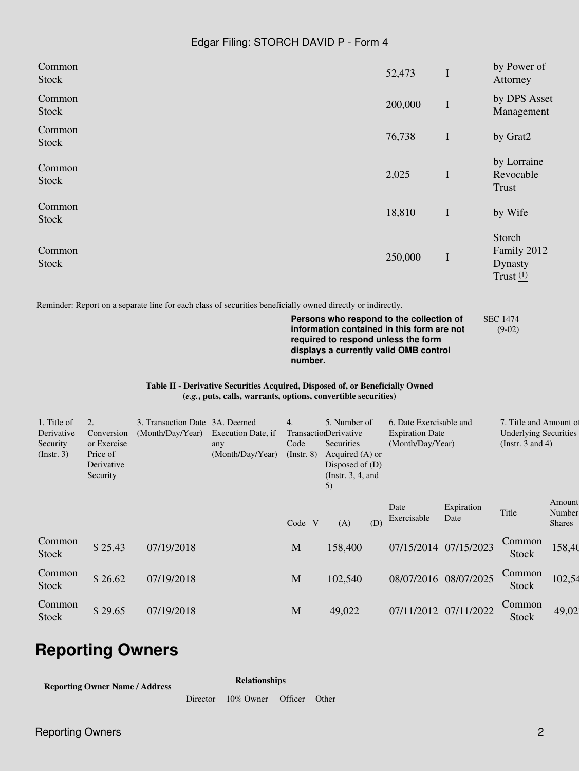### Edgar Filing: STORCH DAVID P - Form 4

| Common<br><b>Stock</b>                               |                                                                       |                                                    |                                                                                                                                                 |                                                                                                                                                           |                                                                                                                                                                         | 52,473                                                                | I                     | by Power of<br>Attorney                                                         |                            |
|------------------------------------------------------|-----------------------------------------------------------------------|----------------------------------------------------|-------------------------------------------------------------------------------------------------------------------------------------------------|-----------------------------------------------------------------------------------------------------------------------------------------------------------|-------------------------------------------------------------------------------------------------------------------------------------------------------------------------|-----------------------------------------------------------------------|-----------------------|---------------------------------------------------------------------------------|----------------------------|
| Common<br>Stock                                      |                                                                       |                                                    |                                                                                                                                                 |                                                                                                                                                           |                                                                                                                                                                         | 200,000                                                               | $\mathbf I$           | by DPS Asset<br>Management                                                      |                            |
| Common<br><b>Stock</b>                               |                                                                       |                                                    |                                                                                                                                                 |                                                                                                                                                           |                                                                                                                                                                         | 76,738                                                                | I                     | by Grat2                                                                        |                            |
| Common<br><b>Stock</b>                               |                                                                       |                                                    |                                                                                                                                                 |                                                                                                                                                           |                                                                                                                                                                         | 2,025                                                                 | $\mathbf I$           | by Lorraine<br>Revocable<br>Trust                                               |                            |
| Common<br><b>Stock</b>                               |                                                                       |                                                    |                                                                                                                                                 |                                                                                                                                                           |                                                                                                                                                                         | 18,810                                                                | I                     | by Wife                                                                         |                            |
| Common<br>Stock                                      |                                                                       |                                                    |                                                                                                                                                 |                                                                                                                                                           |                                                                                                                                                                         | 250,000                                                               | $\mathbf I$           | Storch<br>Family 2012<br>Dynasty<br>Trust $(1)$                                 |                            |
|                                                      |                                                                       |                                                    | Table II - Derivative Securities Acquired, Disposed of, or Beneficially Owned<br>(e.g., puts, calls, warrants, options, convertible securities) | number.                                                                                                                                                   | Persons who respond to the collection of<br>information contained in this form are not<br>required to respond unless the form<br>displays a currently valid OMB control |                                                                       |                       | <b>SEC 1474</b><br>$(9-02)$                                                     |                            |
| 1. Title of<br>Derivative<br>Security<br>(Insert. 3) | 2.<br>Conversion<br>or Exercise<br>Price of<br>Derivative<br>Security | 3. Transaction Date 3A. Deemed<br>(Month/Day/Year) | Execution Date, if<br>any<br>(Month/Day/Year)                                                                                                   | 4.<br>5. Number of<br>TransactionDerivative<br>Securities<br>Code<br>Acquired (A) or<br>$($ Instr. 8 $)$<br>Disposed of (D)<br>(Instr. $3, 4$ , and<br>5) |                                                                                                                                                                         | 6. Date Exercisable and<br><b>Expiration Date</b><br>(Month/Day/Year) |                       | 7. Title and Amount of<br><b>Underlying Securities</b><br>(Instr. $3$ and $4$ ) |                            |
|                                                      |                                                                       |                                                    |                                                                                                                                                 | Code V                                                                                                                                                    | (D)<br>(A)                                                                                                                                                              | Date<br>Exercisable                                                   | Expiration<br>Date    | Title                                                                           | Amount<br>Number<br>Shares |
| Common<br>Stock                                      | \$25.43                                                               | 07/19/2018                                         |                                                                                                                                                 | $\mathbf M$                                                                                                                                               | 158,400                                                                                                                                                                 |                                                                       | 07/15/2014 07/15/2023 | Common<br>Stock                                                                 | 158,40                     |
| Common<br>Stock                                      | \$26.62                                                               | 07/19/2018                                         |                                                                                                                                                 | $\mathbf M$                                                                                                                                               | 102,540                                                                                                                                                                 |                                                                       | 08/07/2016 08/07/2025 | Common<br>Stock                                                                 | 102,54                     |
| Common<br>Stock                                      | \$29.65                                                               | 07/19/2018                                         |                                                                                                                                                 | $\mathbf M$                                                                                                                                               | 49,022                                                                                                                                                                  |                                                                       | 07/11/2012 07/11/2022 | Common<br>Stock                                                                 | 49,02                      |

# **Reporting Owners**

**Reporting Owner Name / Address**

**Relationships** Director 10% Owner Officer Other

**Reporting Owners 22 April 2018 19:30 PM 2018 20:30 PM 20:30 PM 20:30 PM 20:30 PM 20:30 PM 20:30 PM 20:30 PM 20:30 PM 20:30 PM 20:30 PM 20:30 PM 20:30 PM 20:30 PM 20:30 PM 20:30 PM 20:30 PM 20:30 PM 20:30 PM 20:30 PM 20:30**